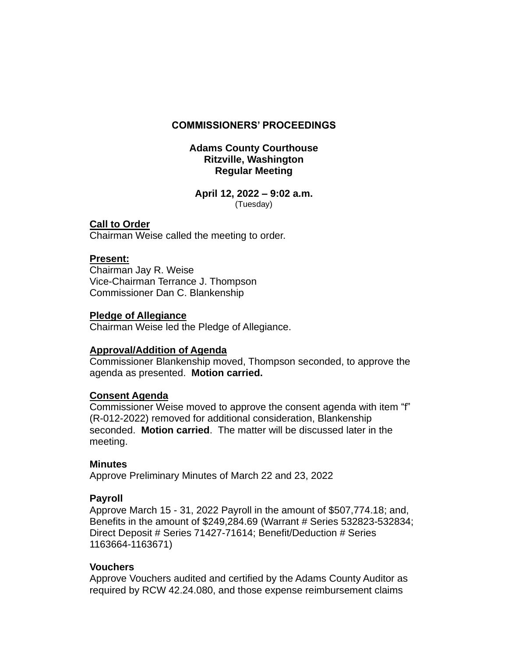## **COMMISSIONERS' PROCEEDINGS**

## **Adams County Courthouse Ritzville, Washington Regular Meeting**

**April 12, 2022 – 9:02 a.m.** (Tuesday)

## **Call to Order**

Chairman Weise called the meeting to order.

# **Present:**

Chairman Jay R. Weise Vice-Chairman Terrance J. Thompson Commissioner Dan C. Blankenship

## **Pledge of Allegiance**

Chairman Weise led the Pledge of Allegiance.

# **Approval/Addition of Agenda**

Commissioner Blankenship moved, Thompson seconded, to approve the agenda as presented. **Motion carried.**

## **Consent Agenda**

Commissioner Weise moved to approve the consent agenda with item "f" (R-012-2022) removed for additional consideration, Blankenship seconded. **Motion carried**. The matter will be discussed later in the meeting.

# **Minutes**

Approve Preliminary Minutes of March 22 and 23, 2022

## **Payroll**

Approve March 15 - 31, 2022 Payroll in the amount of \$507,774.18; and, Benefits in the amount of \$249,284.69 (Warrant # Series 532823-532834; Direct Deposit # Series 71427-71614; Benefit/Deduction # Series 1163664-1163671)

## **Vouchers**

Approve Vouchers audited and certified by the Adams County Auditor as required by RCW 42.24.080, and those expense reimbursement claims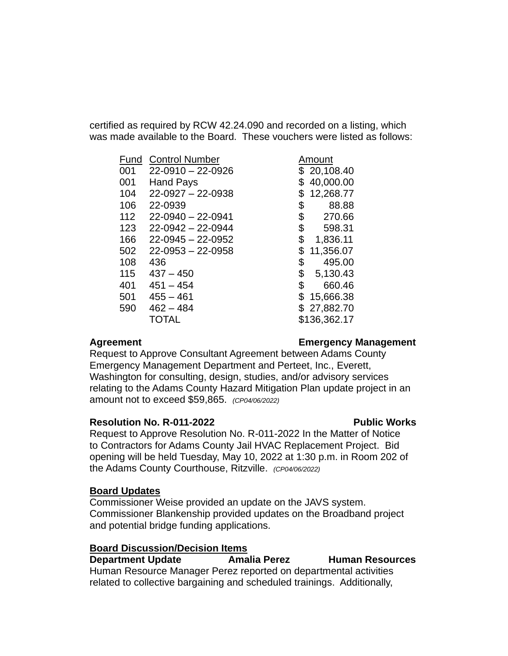certified as required by RCW 42.24.090 and recorded on a listing, which was made available to the Board. These vouchers were listed as follows:

| Fund | <b>Control Number</b>   |               | Amount       |  |
|------|-------------------------|---------------|--------------|--|
| 001  | $22 - 0910 - 22 - 0926$ |               | \$20,108.40  |  |
| 001  | <b>Hand Pays</b>        |               | \$40,000.00  |  |
| 104  | $22 - 0927 - 22 - 0938$ | \$            | 12,268.77    |  |
| 106  | 22-0939                 | \$            | 88.88        |  |
| 112  | $22 - 0940 - 22 - 0941$ | \$            | 270.66       |  |
| 123  | $22 - 0942 - 22 - 0944$ | $\frac{1}{2}$ | 598.31       |  |
| 166  | $22 - 0945 - 22 - 0952$ | \$            | 1,836.11     |  |
| 502  | $22 - 0953 - 22 - 0958$ | \$            | 11,356.07    |  |
| 108  | 436                     | \$            | 495.00       |  |
| 115  | $437 - 450$             | \$            | 5,130.43     |  |
| 401  | $451 - 454$             | \$            | 660.46       |  |
| 501  | $455 - 461$             |               | \$15,666.38  |  |
| 590  | $462 - 484$             |               | \$27,882.70  |  |
|      | <b>TOTAL</b>            |               | \$136,362.17 |  |

Amount  $$20,108.40$  $$40,000.00$  $$12,268.77$  $\frac{1}{3}$  598.31 \$660.46  $$15,666.38$  $$27,882.70$ \$136,362.17

#### **Agreement Emergency Management**

Request to Approve Consultant Agreement between Adams County Emergency Management Department and Perteet, Inc., Everett, Washington for consulting, design, studies, and/or advisory services relating to the Adams County Hazard Mitigation Plan update project in an amount not to exceed \$59,865. *(CP04/06/2022)*

## **Resolution No. R-011-2022 Public Works**

Request to Approve Resolution No. R-011-2022 In the Matter of Notice to Contractors for Adams County Jail HVAC Replacement Project. Bid opening will be held Tuesday, May 10, 2022 at 1:30 p.m. in Room 202 of the Adams County Courthouse, Ritzville. *(CP04/06/2022)*

## **Board Updates**

Commissioner Weise provided an update on the JAVS system. Commissioner Blankenship provided updates on the Broadband project and potential bridge funding applications.

## **Board Discussion/Decision Items**

**Department Update Amalia Perez Human Resources** Human Resource Manager Perez reported on departmental activities related to collective bargaining and scheduled trainings. Additionally,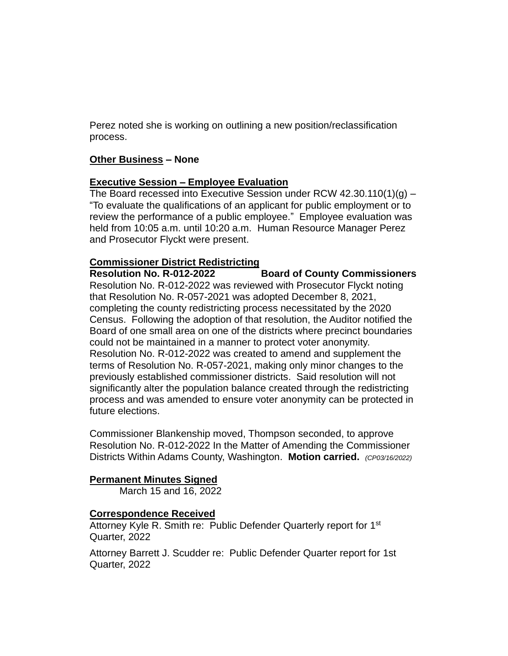Perez noted she is working on outlining a new position/reclassification process.

# **Other Business – None**

## **Executive Session – Employee Evaluation**

The Board recessed into Executive Session under RCW 42.30.110(1)(g) – "To evaluate the qualifications of an applicant for public employment or to review the performance of a public employee." Employee evaluation was held from 10:05 a.m. until 10:20 a.m. Human Resource Manager Perez and Prosecutor Flyckt were present.

## **Commissioner District Redistricting**

**Resolution No. R-012-2022 Board of County Commissioners** Resolution No. R-012-2022 was reviewed with Prosecutor Flyckt noting that Resolution No. R-057-2021 was adopted December 8, 2021, completing the county redistricting process necessitated by the 2020 Census. Following the adoption of that resolution, the Auditor notified the Board of one small area on one of the districts where precinct boundaries could not be maintained in a manner to protect voter anonymity. Resolution No. R-012-2022 was created to amend and supplement the terms of Resolution No. R-057-2021, making only minor changes to the previously established commissioner districts. Said resolution will not significantly alter the population balance created through the redistricting process and was amended to ensure voter anonymity can be protected in future elections.

Commissioner Blankenship moved, Thompson seconded, to approve Resolution No. R-012-2022 In the Matter of Amending the Commissioner Districts Within Adams County, Washington. **Motion carried.** *(CP03/16/2022)*

# **Permanent Minutes Signed**

March 15 and 16, 2022

## **Correspondence Received**

Attorney Kyle R. Smith re: Public Defender Quarterly report for 1<sup>st</sup> Quarter, 2022

Attorney Barrett J. Scudder re: Public Defender Quarter report for 1st Quarter, 2022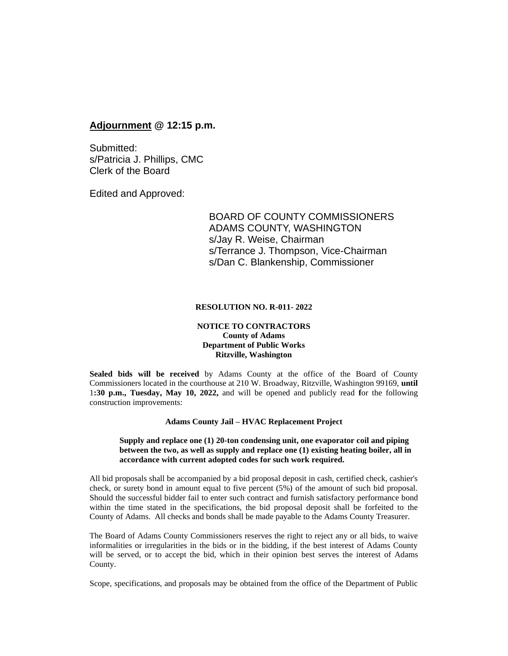#### **Adjournment @ 12:15 p.m.**

Submitted: s/Patricia J. Phillips, CMC Clerk of the Board

Edited and Approved:

## BOARD OF COUNTY COMMISSIONERS ADAMS COUNTY, WASHINGTON s/Jay R. Weise, Chairman s/Terrance J. Thompson, Vice-Chairman s/Dan C. Blankenship, Commissioner

#### **RESOLUTION NO. R-011- 2022**

#### **NOTICE TO CONTRACTORS County of Adams Department of Public Works Ritzville, Washington**

**Sealed bids will be received** by Adams County at the office of the Board of County Commissioners located in the courthouse at 210 W. Broadway, Ritzville, Washington 99169, **until** 1**:30 p.m., Tuesday, May 10, 2022,** and will be opened and publicly read **f**or the following construction improvements:

#### **Adams County Jail – HVAC Replacement Project**

#### **Supply and replace one (1) 20-ton condensing unit, one evaporator coil and piping between the two, as well as supply and replace one (1) existing heating boiler, all in accordance with current adopted codes for such work required.**

All bid proposals shall be accompanied by a bid proposal deposit in cash, certified check, cashier's check, or surety bond in amount equal to five percent (5%) of the amount of such bid proposal. Should the successful bidder fail to enter such contract and furnish satisfactory performance bond within the time stated in the specifications, the bid proposal deposit shall be forfeited to the County of Adams. All checks and bonds shall be made payable to the Adams County Treasurer.

The Board of Adams County Commissioners reserves the right to reject any or all bids, to waive informalities or irregularities in the bids or in the bidding, if the best interest of Adams County will be served, or to accept the bid, which in their opinion best serves the interest of Adams County.

Scope, specifications, and proposals may be obtained from the office of the Department of Public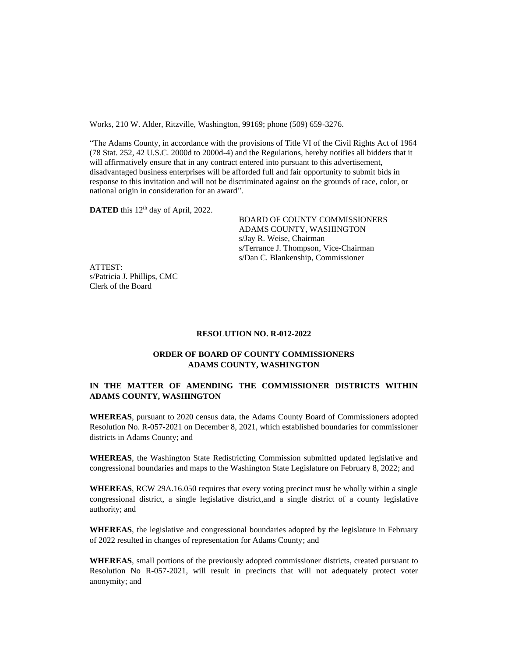Works, 210 W. Alder, Ritzville, Washington, 99169; phone (509) 659-3276.

"The Adams County, in accordance with the provisions of Title VI of the Civil Rights Act of 1964 (78 Stat. 252, 42 U.S.C. 2000d to 2000d-4) and the Regulations, hereby notifies all bidders that it will affirmatively ensure that in any contract entered into pursuant to this advertisement, disadvantaged business enterprises will be afforded full and fair opportunity to submit bids in response to this invitation and will not be discriminated against on the grounds of race, color, or national origin in consideration for an award".

**DATED** this 12<sup>th</sup> day of April, 2022.

BOARD OF COUNTY COMMISSIONERS ADAMS COUNTY, WASHINGTON s/Jay R. Weise, Chairman s/Terrance J. Thompson, Vice-Chairman s/Dan C. Blankenship, Commissioner

ATTEST: s/Patricia J. Phillips, CMC Clerk of the Board

#### **RESOLUTION NO. R-012-2022**

#### **ORDER OF BOARD OF COUNTY COMMISSIONERS ADAMS COUNTY, WASHINGTON**

#### **IN THE MATTER OF AMENDING THE COMMISSIONER DISTRICTS WITHIN ADAMS COUNTY, WASHINGTON**

**WHEREAS**, pursuant to 2020 census data, the Adams County Board of Commissioners adopted Resolution No. R-057-2021 on December 8, 2021, which established boundaries for commissioner districts in Adams County; and

**WHEREAS**, the Washington State Redistricting Commission submitted updated legislative and congressional boundaries and maps to the Washington State Legislature on February 8, 2022; and

**WHEREAS**, RCW 29A.16.050 requires that every voting precinct must be wholly within a single congressional district, a single legislative district,and a single district of a county legislative authority; and

**WHEREAS**, the legislative and congressional boundaries adopted by the legislature in February of 2022 resulted in changes of representation for Adams County; and

**WHEREAS**, small portions of the previously adopted commissioner districts, created pursuant to Resolution No R-057-2021, will result in precincts that will not adequately protect voter anonymity; and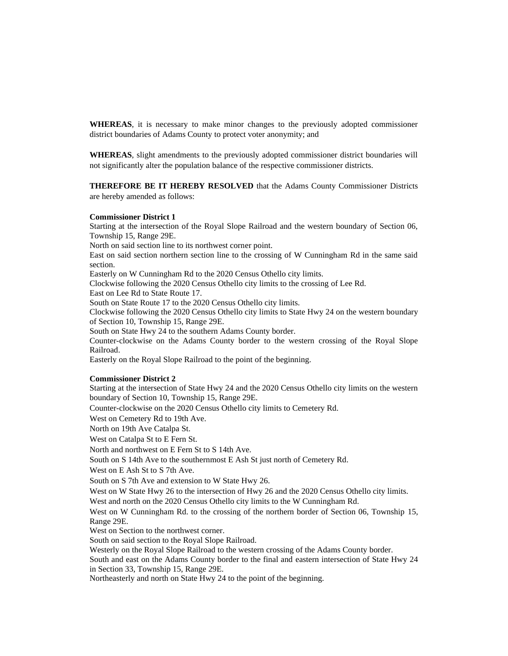**WHEREAS**, it is necessary to make minor changes to the previously adopted commissioner district boundaries of Adams County to protect voter anonymity; and

**WHEREAS**, slight amendments to the previously adopted commissioner district boundaries will not significantly alter the population balance of the respective commissioner districts.

**THEREFORE BE IT HEREBY RESOLVED** that the Adams County Commissioner Districts are hereby amended as follows:

#### **Commissioner District 1**

Starting at the intersection of the Royal Slope Railroad and the western boundary of Section 06, Township 15, Range 29E.

North on said section line to its northwest corner point.

East on said section northern section line to the crossing of W Cunningham Rd in the same said section.

Easterly on W Cunningham Rd to the 2020 Census Othello city limits.

Clockwise following the 2020 Census Othello city limits to the crossing of Lee Rd.

East on Lee Rd to State Route 17.

South on State Route 17 to the 2020 Census Othello city limits.

Clockwise following the 2020 Census Othello city limits to State Hwy 24 on the western boundary of Section 10, Township 15, Range 29E.

South on State Hwy 24 to the southern Adams County border.

Counter-clockwise on the Adams County border to the western crossing of the Royal Slope Railroad.

Easterly on the Royal Slope Railroad to the point of the beginning.

#### **Commissioner District 2**

Starting at the intersection of State Hwy 24 and the 2020 Census Othello city limits on the western boundary of Section 10, Township 15, Range 29E.

Counter-clockwise on the 2020 Census Othello city limits to Cemetery Rd.

West on Cemetery Rd to 19th Ave.

North on 19th Ave Catalpa St.

West on Catalpa St to E Fern St.

North and northwest on E Fern St to S 14th Ave.

South on S 14th Ave to the southernmost E Ash St just north of Cemetery Rd.

West on E Ash St to S 7th Ave.

South on S 7th Ave and extension to W State Hwy 26.

West on W State Hwy 26 to the intersection of Hwy 26 and the 2020 Census Othello city limits. West and north on the 2020 Census Othello city limits to the W Cunningham Rd.

West on W Cunningham Rd, to the crossing of the northern border of Section 06, Township 15, Range 29E.

West on Section to the northwest corner.

South on said section to the Royal Slope Railroad.

Westerly on the Royal Slope Railroad to the western crossing of the Adams County border.

South and east on the Adams County border to the final and eastern intersection of State Hwy 24 in Section 33, Township 15, Range 29E.

Northeasterly and north on State Hwy 24 to the point of the beginning.